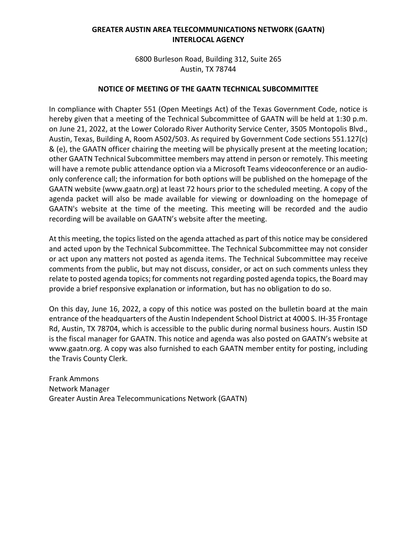# **GREATER AUSTIN AREA TELECOMMUNICATIONS NETWORK (GAATN) INTERLOCAL AGENCY**

6800 Burleson Road, Building 312, Suite 265 Austin, TX 78744

# **NOTICE OF MEETING OF THE GAATN TECHNICAL SUBCOMMITTEE**

In compliance with Chapter 551 (Open Meetings Act) of the Texas Government Code, notice is hereby given that a meeting of the Technical Subcommittee of GAATN will be held at 1:30 p.m. on June 21, 2022, at the Lower Colorado River Authority Service Center, 3505 Montopolis Blvd., Austin, Texas, Building A, Room A502/503. As required by Government Code sections 551.127(c) & (e), the GAATN officer chairing the meeting will be physically present at the meeting location; other GAATN Technical Subcommittee members may attend in person or remotely. This meeting will have a remote public attendance option via a Microsoft Teams videoconference or an audioonly conference call; the information for both options will be published on the homepage of the GAATN website (www.gaatn.org) at least 72 hours prior to the scheduled meeting. A copy of the agenda packet will also be made available for viewing or downloading on the homepage of GAATN's website at the time of the meeting. This meeting will be recorded and the audio recording will be available on GAATN's website after the meeting.

At this meeting, the topics listed on the agenda attached as part of this notice may be considered and acted upon by the Technical Subcommittee. The Technical Subcommittee may not consider or act upon any matters not posted as agenda items. The Technical Subcommittee may receive comments from the public, but may not discuss, consider, or act on such comments unless they relate to posted agenda topics; for comments not regarding posted agenda topics, the Board may provide a brief responsive explanation or information, but has no obligation to do so.

On this day, June 16, 2022, a copy of this notice was posted on the bulletin board at the main entrance of the headquarters of the Austin Independent School District at 4000 S. IH-35 Frontage Rd, Austin, TX 78704, which is accessible to the public during normal business hours. Austin ISD is the fiscal manager for GAATN. This notice and agenda was also posted on GAATN's website at www.gaatn.org. A copy was also furnished to each GAATN member entity for posting, including the Travis County Clerk.

Frank Ammons Network Manager Greater Austin Area Telecommunications Network (GAATN)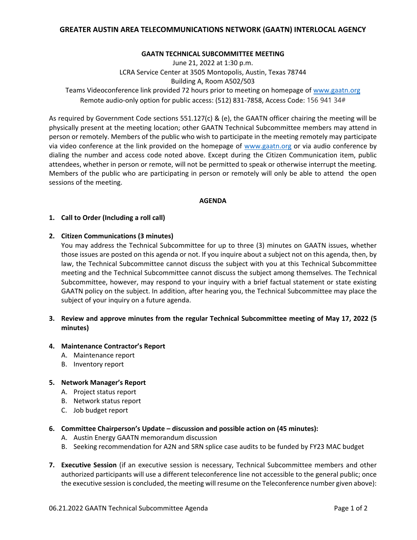# **GREATER AUSTIN AREA TELECOMMUNICATIONS NETWORK (GAATN) INTERLOCAL AGENCY**

### **GAATN TECHNICAL SUBCOMMITTEE MEETING**

June 21, 2022 at 1:30 p.m. LCRA Service Center at 3505 Montopolis, Austin, Texas 78744 Building A, Room A502/503 Teams Videoconference link provided 72 hours prior to meeting on homepage of [www.gaatn.org](http://www.gaatn.org/) Remote audio-only option for public access: (512) 831-7858, Access Code: 156 941 34#

As required by Government Code sections 551.127(c) & (e), the GAATN officer chairing the meeting will be physically present at the meeting location; other GAATN Technical Subcommittee members may attend in person or remotely. Members of the public who wish to participate in the meeting remotely may participate via video conference at the link provided on the homepage of [www.gaatn.org](http://www.gaatn.org/) or via audio conference by dialing the number and access code noted above. Except during the Citizen Communication item, public attendees, whether in person or remote, will not be permitted to speak or otherwise interrupt the meeting. Members of the public who are participating in person or remotely will only be able to attend the open sessions of the meeting.

#### **AGENDA**

### **1. Call to Order (Including a roll call)**

#### **2. Citizen Communications (3 minutes)**

You may address the Technical Subcommittee for up to three (3) minutes on GAATN issues, whether those issues are posted on this agenda or not. If you inquire about a subject not on this agenda, then, by law, the Technical Subcommittee cannot discuss the subject with you at this Technical Subcommittee meeting and the Technical Subcommittee cannot discuss the subject among themselves. The Technical Subcommittee, however, may respond to your inquiry with a brief factual statement or state existing GAATN policy on the subject. In addition, after hearing you, the Technical Subcommittee may place the subject of your inquiry on a future agenda.

# **3. Review and approve minutes from the regular Technical Subcommittee meeting of May 17, 2022 (5 minutes)**

### **4. Maintenance Contractor's Report**

- A. Maintenance report
- B. Inventory report

## **5. Network Manager's Report**

- A. Project status report
- B. Network status report
- C. Job budget report

#### **6. Committee Chairperson's Update – discussion and possible action on (45 minutes):**

- A. Austin Energy GAATN memorandum discussion
- B. Seeking recommendation for A2N and SRN splice case audits to be funded by FY23 MAC budget
- **7. Executive Session** (if an executive session is necessary, Technical Subcommittee members and other authorized participants will use a different teleconference line not accessible to the general public; once the executive session is concluded, the meeting will resume on the Teleconference number given above):